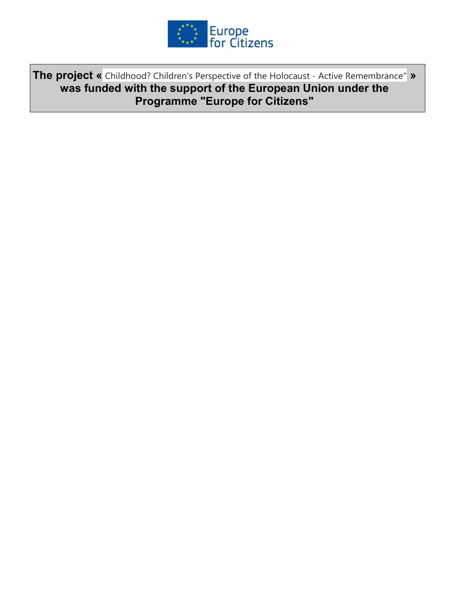

The project « Childhood? Children's Perspective of the Holocaust - Active Remembrance" » was funded with the support of the European Union under the Programme "Europe for Citizens"